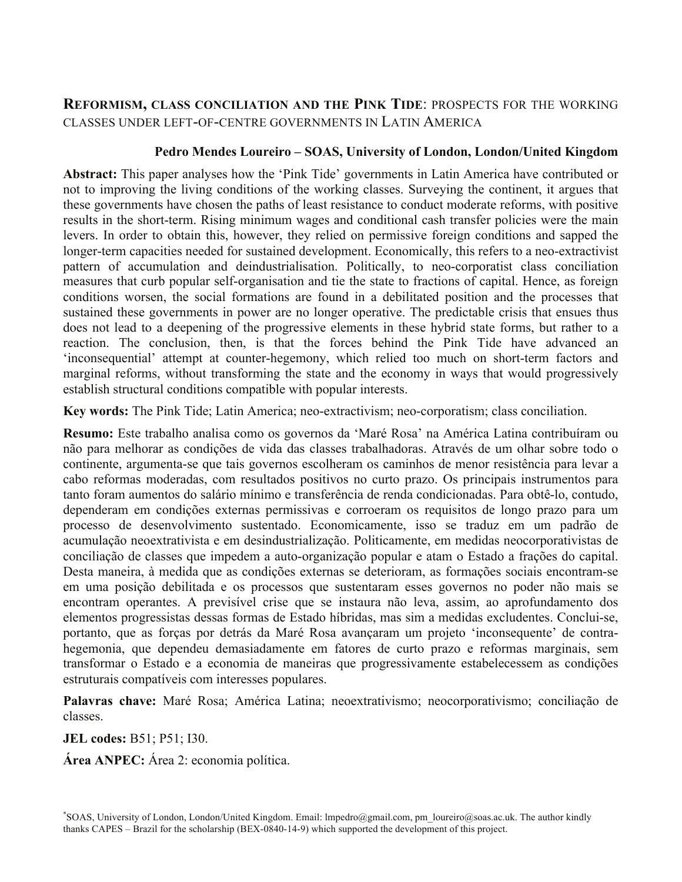# **REFORMISM, CLASS CONCILIATION AND THE PINK TIDE**: PROSPECTS FOR THE WORKING CLASSES UNDER LEFT-OF-CENTRE GOVERNMENTS IN LATIN AMERICA

## **Pedro Mendes Loureiro – SOAS, University of London, London/United Kingdom**

**Abstract:** This paper analyses how the 'Pink Tide' governments in Latin America have contributed or not to improving the living conditions of the working classes. Surveying the continent, it argues that these governments have chosen the paths of least resistance to conduct moderate reforms, with positive results in the short-term. Rising minimum wages and conditional cash transfer policies were the main levers. In order to obtain this, however, they relied on permissive foreign conditions and sapped the longer-term capacities needed for sustained development. Economically, this refers to a neo-extractivist pattern of accumulation and deindustrialisation. Politically, to neo-corporatist class conciliation measures that curb popular self-organisation and tie the state to fractions of capital. Hence, as foreign conditions worsen, the social formations are found in a debilitated position and the processes that sustained these governments in power are no longer operative. The predictable crisis that ensues thus does not lead to a deepening of the progressive elements in these hybrid state forms, but rather to a reaction. The conclusion, then, is that the forces behind the Pink Tide have advanced an 'inconsequential' attempt at counter-hegemony, which relied too much on short-term factors and marginal reforms, without transforming the state and the economy in ways that would progressively establish structural conditions compatible with popular interests.

**Key words:** The Pink Tide; Latin America; neo-extractivism; neo-corporatism; class conciliation.

**Resumo:** Este trabalho analisa como os governos da 'Maré Rosa' na América Latina contribuíram ou não para melhorar as condições de vida das classes trabalhadoras. Através de um olhar sobre todo o continente, argumenta-se que tais governos escolheram os caminhos de menor resistência para levar a cabo reformas moderadas, com resultados positivos no curto prazo. Os principais instrumentos para tanto foram aumentos do salário mínimo e transferência de renda condicionadas. Para obtê-lo, contudo, dependeram em condições externas permissivas e corroeram os requisitos de longo prazo para um processo de desenvolvimento sustentado. Economicamente, isso se traduz em um padrão de acumulação neoextrativista e em desindustrialização. Politicamente, em medidas neocorporativistas de conciliação de classes que impedem a auto-organização popular e atam o Estado a frações do capital. Desta maneira, à medida que as condições externas se deterioram, as formações sociais encontram-se em uma posição debilitada e os processos que sustentaram esses governos no poder não mais se encontram operantes. A previsível crise que se instaura não leva, assim, ao aprofundamento dos elementos progressistas dessas formas de Estado híbridas, mas sim a medidas excludentes. Conclui-se, portanto, que as forças por detrás da Maré Rosa avançaram um projeto 'inconsequente' de contrahegemonia, que dependeu demasiadamente em fatores de curto prazo e reformas marginais, sem transformar o Estado e a economia de maneiras que progressivamente estabelecessem as condições estruturais compatíveis com interesses populares.

Palavras chave: Maré Rosa; América Latina; neoextrativismo; neocorporativismo; conciliação de classes.

**JEL codes:** B51; P51; I30.

**Área ANPEC:** Área 2: economia política.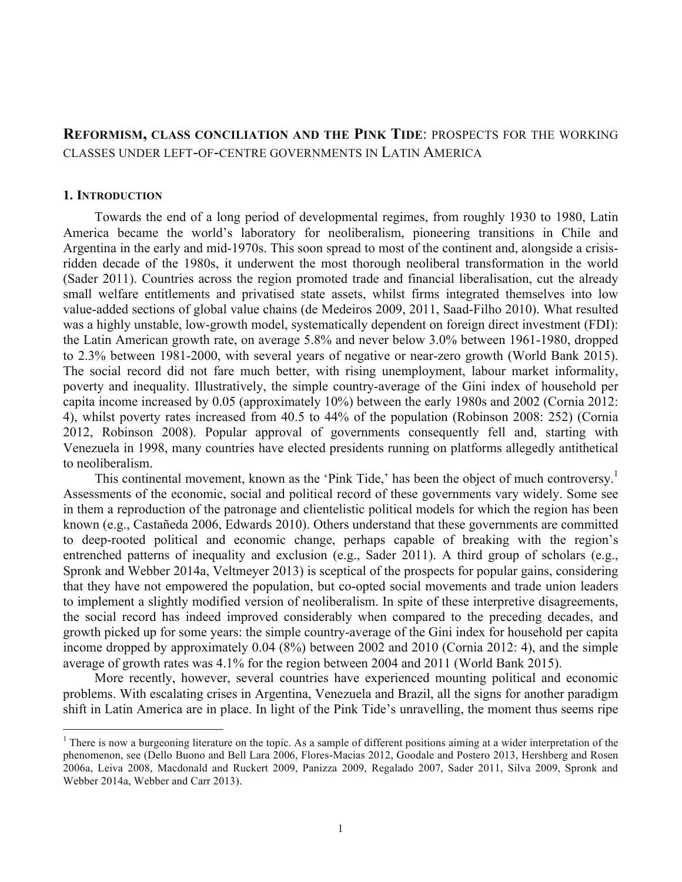## **REFORMISM, CLASS CONCILIATION AND THE PINK TIDE**: PROSPECTS FOR THE WORKING CLASSES UNDER LEFT-OF-CENTRE GOVERNMENTS IN LATIN AMERICA

#### **1. INTRODUCTION**

Towards the end of a long period of developmental regimes, from roughly 1930 to 1980, Latin America became the world's laboratory for neoliberalism, pioneering transitions in Chile and Argentina in the early and mid-1970s. This soon spread to most of the continent and, alongside a crisisridden decade of the 1980s, it underwent the most thorough neoliberal transformation in the world (Sader 2011). Countries across the region promoted trade and financial liberalisation, cut the already small welfare entitlements and privatised state assets, whilst firms integrated themselves into low value-added sections of global value chains (de Medeiros 2009, 2011, Saad-Filho 2010). What resulted was a highly unstable, low-growth model, systematically dependent on foreign direct investment (FDI): the Latin American growth rate, on average 5.8% and never below 3.0% between 1961-1980, dropped to 2.3% between 1981-2000, with several years of negative or near-zero growth (World Bank 2015). The social record did not fare much better, with rising unemployment, labour market informality, poverty and inequality. Illustratively, the simple country-average of the Gini index of household per capita income increased by 0.05 (approximately 10%) between the early 1980s and 2002 (Cornia 2012: 4), whilst poverty rates increased from 40.5 to 44% of the population (Robinson 2008: 252) (Cornia 2012, Robinson 2008). Popular approval of governments consequently fell and, starting with Venezuela in 1998, many countries have elected presidents running on platforms allegedly antithetical to neoliberalism.

This continental movement, known as the 'Pink Tide,' has been the object of much controversy.<sup>1</sup> Assessments of the economic, social and political record of these governments vary widely. Some see in them a reproduction of the patronage and clientelistic political models for which the region has been known (e.g., Castañeda 2006, Edwards 2010). Others understand that these governments are committed to deep-rooted political and economic change, perhaps capable of breaking with the region's entrenched patterns of inequality and exclusion (e.g., Sader 2011). A third group of scholars (e.g., Spronk and Webber 2014a, Veltmeyer 2013) is sceptical of the prospects for popular gains, considering that they have not empowered the population, but co-opted social movements and trade union leaders to implement a slightly modified version of neoliberalism. In spite of these interpretive disagreements, the social record has indeed improved considerably when compared to the preceding decades, and growth picked up for some years: the simple country-average of the Gini index for household per capita income dropped by approximately 0.04 (8%) between 2002 and 2010 (Cornia 2012: 4), and the simple average of growth rates was 4.1% for the region between 2004 and 2011 (World Bank 2015).

More recently, however, several countries have experienced mounting political and economic problems. With escalating crises in Argentina, Venezuela and Brazil, all the signs for another paradigm shift in Latin America are in place. In light of the Pink Tide's unravelling, the moment thus seems ripe

<sup>&</sup>lt;sup>1</sup> There is now a burgeoning literature on the topic. As a sample of different positions aiming at a wider interpretation of the phenomenon, see (Dello Buono and Bell Lara 2006, Flores-Macias 2012, Goodale and Postero 2013, Hershberg and Rosen 2006a, Leiva 2008, Macdonald and Ruckert 2009, Panizza 2009, Regalado 2007, Sader 2011, Silva 2009, Spronk and Webber 2014a, Webber and Carr 2013).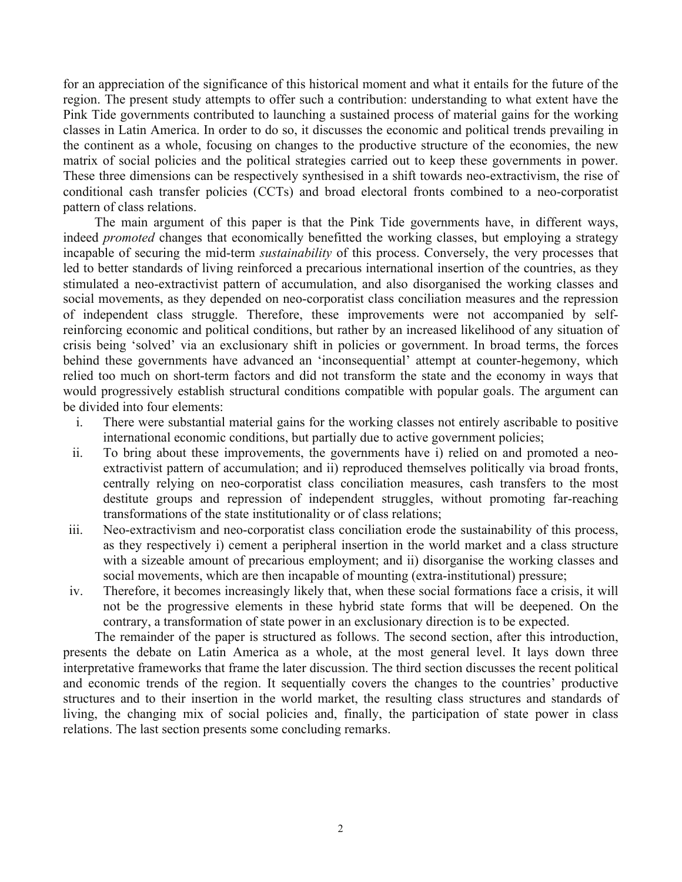for an appreciation of the significance of this historical moment and what it entails for the future of the region. The present study attempts to offer such a contribution: understanding to what extent have the Pink Tide governments contributed to launching a sustained process of material gains for the working classes in Latin America. In order to do so, it discusses the economic and political trends prevailing in the continent as a whole, focusing on changes to the productive structure of the economies, the new matrix of social policies and the political strategies carried out to keep these governments in power. These three dimensions can be respectively synthesised in a shift towards neo-extractivism, the rise of conditional cash transfer policies (CCTs) and broad electoral fronts combined to a neo-corporatist pattern of class relations.

The main argument of this paper is that the Pink Tide governments have, in different ways, indeed *promoted* changes that economically benefitted the working classes, but employing a strategy incapable of securing the mid-term *sustainability* of this process. Conversely, the very processes that led to better standards of living reinforced a precarious international insertion of the countries, as they stimulated a neo-extractivist pattern of accumulation, and also disorganised the working classes and social movements, as they depended on neo-corporatist class conciliation measures and the repression of independent class struggle. Therefore, these improvements were not accompanied by selfreinforcing economic and political conditions, but rather by an increased likelihood of any situation of crisis being 'solved' via an exclusionary shift in policies or government. In broad terms, the forces behind these governments have advanced an 'inconsequential' attempt at counter-hegemony, which relied too much on short-term factors and did not transform the state and the economy in ways that would progressively establish structural conditions compatible with popular goals. The argument can be divided into four elements:

- i. There were substantial material gains for the working classes not entirely ascribable to positive international economic conditions, but partially due to active government policies;
- ii. To bring about these improvements, the governments have i) relied on and promoted a neoextractivist pattern of accumulation; and ii) reproduced themselves politically via broad fronts, centrally relying on neo-corporatist class conciliation measures, cash transfers to the most destitute groups and repression of independent struggles, without promoting far-reaching transformations of the state institutionality or of class relations;
- iii. Neo-extractivism and neo-corporatist class conciliation erode the sustainability of this process, as they respectively i) cement a peripheral insertion in the world market and a class structure with a sizeable amount of precarious employment; and ii) disorganise the working classes and social movements, which are then incapable of mounting (extra-institutional) pressure;
- iv. Therefore, it becomes increasingly likely that, when these social formations face a crisis, it will not be the progressive elements in these hybrid state forms that will be deepened. On the contrary, a transformation of state power in an exclusionary direction is to be expected.

The remainder of the paper is structured as follows. The second section, after this introduction, presents the debate on Latin America as a whole, at the most general level. It lays down three interpretative frameworks that frame the later discussion. The third section discusses the recent political and economic trends of the region. It sequentially covers the changes to the countries' productive structures and to their insertion in the world market, the resulting class structures and standards of living, the changing mix of social policies and, finally, the participation of state power in class relations. The last section presents some concluding remarks.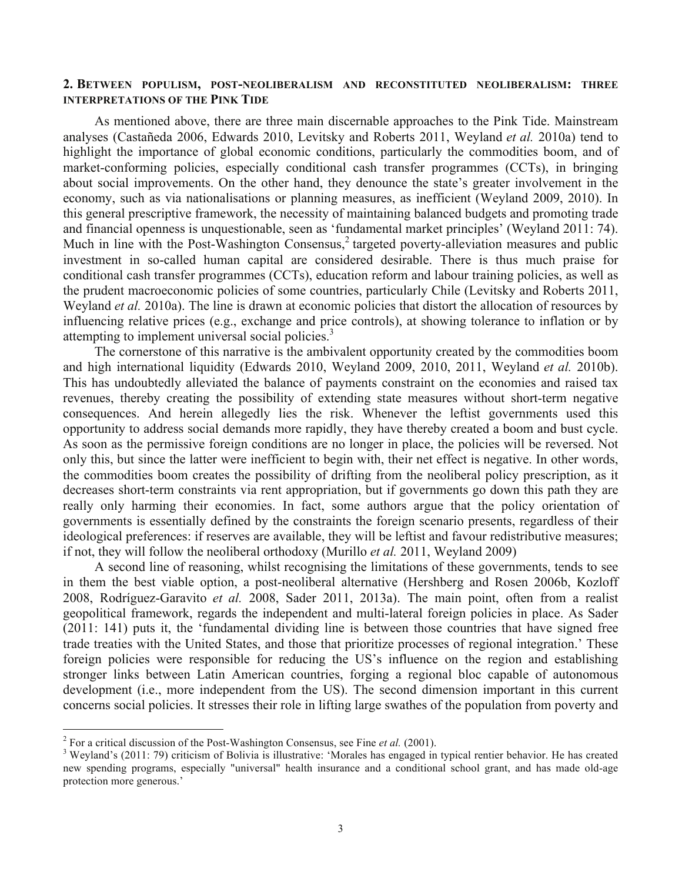### **2. BETWEEN POPULISM, POST-NEOLIBERALISM AND RECONSTITUTED NEOLIBERALISM: THREE INTERPRETATIONS OF THE PINK TIDE**

As mentioned above, there are three main discernable approaches to the Pink Tide. Mainstream analyses (Castañeda 2006, Edwards 2010, Levitsky and Roberts 2011, Weyland *et al.* 2010a) tend to highlight the importance of global economic conditions, particularly the commodities boom, and of market-conforming policies, especially conditional cash transfer programmes (CCTs), in bringing about social improvements. On the other hand, they denounce the state's greater involvement in the economy, such as via nationalisations or planning measures, as inefficient (Weyland 2009, 2010). In this general prescriptive framework, the necessity of maintaining balanced budgets and promoting trade and financial openness is unquestionable, seen as 'fundamental market principles' (Weyland 2011: 74). Much in line with the Post-Washington Consensus,<sup>2</sup> targeted poverty-alleviation measures and public investment in so-called human capital are considered desirable. There is thus much praise for conditional cash transfer programmes (CCTs), education reform and labour training policies, as well as the prudent macroeconomic policies of some countries, particularly Chile (Levitsky and Roberts 2011, Weyland *et al.* 2010a). The line is drawn at economic policies that distort the allocation of resources by influencing relative prices (e.g., exchange and price controls), at showing tolerance to inflation or by attempting to implement universal social policies.<sup>3</sup>

The cornerstone of this narrative is the ambivalent opportunity created by the commodities boom and high international liquidity (Edwards 2010, Weyland 2009, 2010, 2011, Weyland *et al.* 2010b). This has undoubtedly alleviated the balance of payments constraint on the economies and raised tax revenues, thereby creating the possibility of extending state measures without short-term negative consequences. And herein allegedly lies the risk. Whenever the leftist governments used this opportunity to address social demands more rapidly, they have thereby created a boom and bust cycle. As soon as the permissive foreign conditions are no longer in place, the policies will be reversed. Not only this, but since the latter were inefficient to begin with, their net effect is negative. In other words, the commodities boom creates the possibility of drifting from the neoliberal policy prescription, as it decreases short-term constraints via rent appropriation, but if governments go down this path they are really only harming their economies. In fact, some authors argue that the policy orientation of governments is essentially defined by the constraints the foreign scenario presents, regardless of their ideological preferences: if reserves are available, they will be leftist and favour redistributive measures; if not, they will follow the neoliberal orthodoxy (Murillo *et al.* 2011, Weyland 2009)

A second line of reasoning, whilst recognising the limitations of these governments, tends to see in them the best viable option, a post-neoliberal alternative (Hershberg and Rosen 2006b, Kozloff 2008, Rodríguez-Garavito *et al.* 2008, Sader 2011, 2013a). The main point, often from a realist geopolitical framework, regards the independent and multi-lateral foreign policies in place. As Sader (2011: 141) puts it, the 'fundamental dividing line is between those countries that have signed free trade treaties with the United States, and those that prioritize processes of regional integration.' These foreign policies were responsible for reducing the US's influence on the region and establishing stronger links between Latin American countries, forging a regional bloc capable of autonomous development (i.e., more independent from the US). The second dimension important in this current concerns social policies. It stresses their role in lifting large swathes of the population from poverty and

<sup>&</sup>lt;sup>2</sup> For a critical discussion of the Post-Washington Consensus, see Fine *et al.* (2001).<br><sup>3</sup> Weyland's (2011: 79) criticism of Bolivia is illustrative: 'Morales has engaged in typical rentier behavior. He has created new spending programs, especially "universal" health insurance and a conditional school grant, and has made old-age protection more generous.'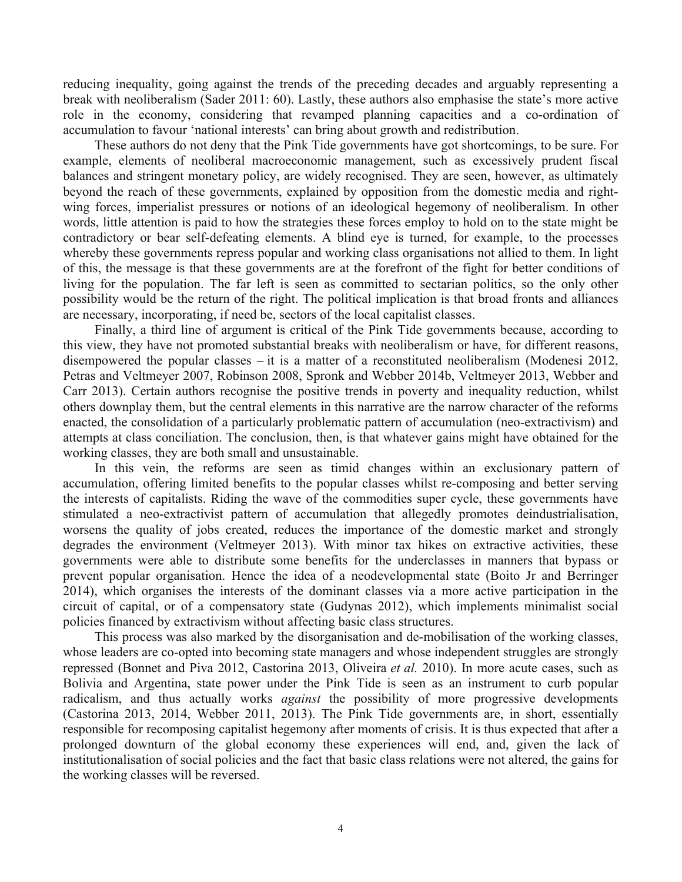reducing inequality, going against the trends of the preceding decades and arguably representing a break with neoliberalism (Sader 2011: 60). Lastly, these authors also emphasise the state's more active role in the economy, considering that revamped planning capacities and a co-ordination of accumulation to favour 'national interests' can bring about growth and redistribution.

These authors do not deny that the Pink Tide governments have got shortcomings, to be sure. For example, elements of neoliberal macroeconomic management, such as excessively prudent fiscal balances and stringent monetary policy, are widely recognised. They are seen, however, as ultimately beyond the reach of these governments, explained by opposition from the domestic media and rightwing forces, imperialist pressures or notions of an ideological hegemony of neoliberalism. In other words, little attention is paid to how the strategies these forces employ to hold on to the state might be contradictory or bear self-defeating elements. A blind eye is turned, for example, to the processes whereby these governments repress popular and working class organisations not allied to them. In light of this, the message is that these governments are at the forefront of the fight for better conditions of living for the population. The far left is seen as committed to sectarian politics, so the only other possibility would be the return of the right. The political implication is that broad fronts and alliances are necessary, incorporating, if need be, sectors of the local capitalist classes.

Finally, a third line of argument is critical of the Pink Tide governments because, according to this view, they have not promoted substantial breaks with neoliberalism or have, for different reasons, disempowered the popular classes – it is a matter of a reconstituted neoliberalism (Modenesi 2012, Petras and Veltmeyer 2007, Robinson 2008, Spronk and Webber 2014b, Veltmeyer 2013, Webber and Carr 2013). Certain authors recognise the positive trends in poverty and inequality reduction, whilst others downplay them, but the central elements in this narrative are the narrow character of the reforms enacted, the consolidation of a particularly problematic pattern of accumulation (neo-extractivism) and attempts at class conciliation. The conclusion, then, is that whatever gains might have obtained for the working classes, they are both small and unsustainable.

In this vein, the reforms are seen as timid changes within an exclusionary pattern of accumulation, offering limited benefits to the popular classes whilst re-composing and better serving the interests of capitalists. Riding the wave of the commodities super cycle, these governments have stimulated a neo-extractivist pattern of accumulation that allegedly promotes deindustrialisation, worsens the quality of jobs created, reduces the importance of the domestic market and strongly degrades the environment (Veltmeyer 2013). With minor tax hikes on extractive activities, these governments were able to distribute some benefits for the underclasses in manners that bypass or prevent popular organisation. Hence the idea of a neodevelopmental state (Boito Jr and Berringer 2014), which organises the interests of the dominant classes via a more active participation in the circuit of capital, or of a compensatory state (Gudynas 2012), which implements minimalist social policies financed by extractivism without affecting basic class structures.

This process was also marked by the disorganisation and de-mobilisation of the working classes, whose leaders are co-opted into becoming state managers and whose independent struggles are strongly repressed (Bonnet and Piva 2012, Castorina 2013, Oliveira *et al.* 2010). In more acute cases, such as Bolivia and Argentina, state power under the Pink Tide is seen as an instrument to curb popular radicalism, and thus actually works *against* the possibility of more progressive developments (Castorina 2013, 2014, Webber 2011, 2013). The Pink Tide governments are, in short, essentially responsible for recomposing capitalist hegemony after moments of crisis. It is thus expected that after a prolonged downturn of the global economy these experiences will end, and, given the lack of institutionalisation of social policies and the fact that basic class relations were not altered, the gains for the working classes will be reversed.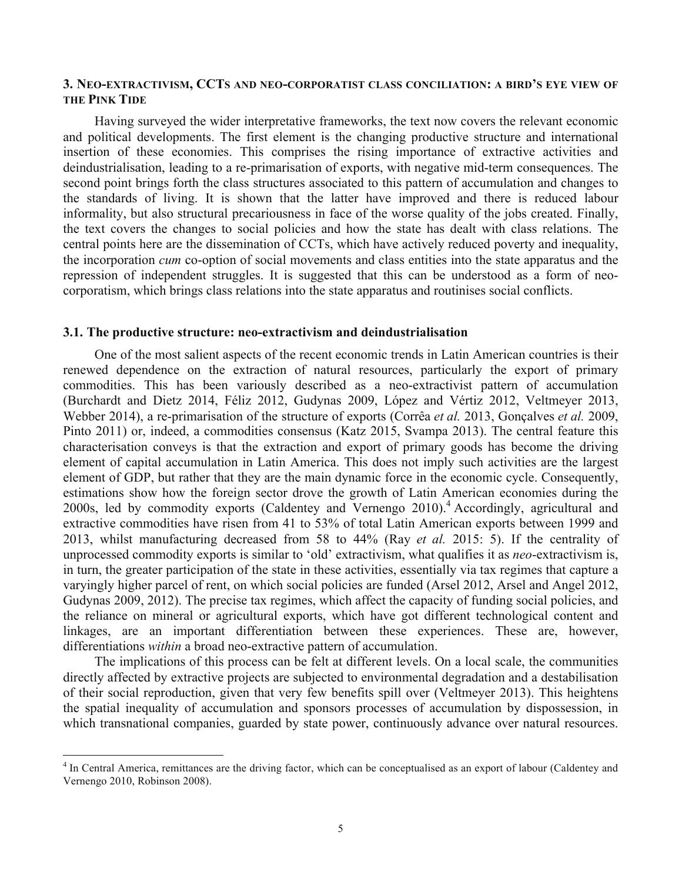### **3. NEO-EXTRACTIVISM, CCTS AND NEO-CORPORATIST CLASS CONCILIATION: A BIRD'S EYE VIEW OF THE PINK TIDE**

Having surveyed the wider interpretative frameworks, the text now covers the relevant economic and political developments. The first element is the changing productive structure and international insertion of these economies. This comprises the rising importance of extractive activities and deindustrialisation, leading to a re-primarisation of exports, with negative mid-term consequences. The second point brings forth the class structures associated to this pattern of accumulation and changes to the standards of living. It is shown that the latter have improved and there is reduced labour informality, but also structural precariousness in face of the worse quality of the jobs created. Finally, the text covers the changes to social policies and how the state has dealt with class relations. The central points here are the dissemination of CCTs, which have actively reduced poverty and inequality, the incorporation *cum* co-option of social movements and class entities into the state apparatus and the repression of independent struggles. It is suggested that this can be understood as a form of neocorporatism, which brings class relations into the state apparatus and routinises social conflicts.

#### **3.1. The productive structure: neo-extractivism and deindustrialisation**

One of the most salient aspects of the recent economic trends in Latin American countries is their renewed dependence on the extraction of natural resources, particularly the export of primary commodities. This has been variously described as a neo-extractivist pattern of accumulation (Burchardt and Dietz 2014, Féliz 2012, Gudynas 2009, López and Vértiz 2012, Veltmeyer 2013, Webber 2014), a re-primarisation of the structure of exports (Corrêa *et al.* 2013, Gonçalves *et al.* 2009, Pinto 2011) or, indeed, a commodities consensus (Katz 2015, Svampa 2013). The central feature this characterisation conveys is that the extraction and export of primary goods has become the driving element of capital accumulation in Latin America. This does not imply such activities are the largest element of GDP, but rather that they are the main dynamic force in the economic cycle. Consequently, estimations show how the foreign sector drove the growth of Latin American economies during the 2000s, led by commodity exports (Caldentey and Vernengo 2010). <sup>4</sup> Accordingly, agricultural and extractive commodities have risen from 41 to 53% of total Latin American exports between 1999 and 2013, whilst manufacturing decreased from 58 to 44% (Ray *et al.* 2015: 5). If the centrality of unprocessed commodity exports is similar to 'old' extractivism, what qualifies it as *neo*-extractivism is, in turn, the greater participation of the state in these activities, essentially via tax regimes that capture a varyingly higher parcel of rent, on which social policies are funded (Arsel 2012, Arsel and Angel 2012, Gudynas 2009, 2012). The precise tax regimes, which affect the capacity of funding social policies, and the reliance on mineral or agricultural exports, which have got different technological content and linkages, are an important differentiation between these experiences. These are, however, differentiations *within* a broad neo-extractive pattern of accumulation.

The implications of this process can be felt at different levels. On a local scale, the communities directly affected by extractive projects are subjected to environmental degradation and a destabilisation of their social reproduction, given that very few benefits spill over (Veltmeyer 2013). This heightens the spatial inequality of accumulation and sponsors processes of accumulation by dispossession, in which transnational companies, guarded by state power, continuously advance over natural resources.

<sup>&</sup>lt;sup>4</sup> In Central America, remittances are the driving factor, which can be conceptualised as an export of labour (Caldentey and Vernengo 2010, Robinson 2008).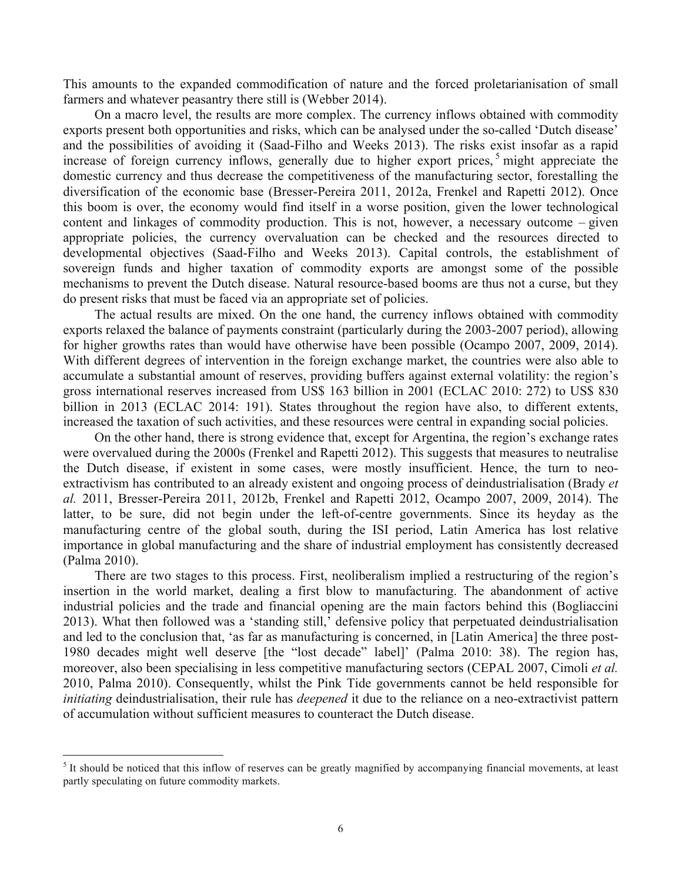This amounts to the expanded commodification of nature and the forced proletarianisation of small farmers and whatever peasantry there still is (Webber 2014).

On a macro level, the results are more complex. The currency inflows obtained with commodity exports present both opportunities and risks, which can be analysed under the so-called 'Dutch disease' and the possibilities of avoiding it (Saad-Filho and Weeks 2013). The risks exist insofar as a rapid increase of foreign currency inflows, generally due to higher export prices,  $5$  might appreciate the domestic currency and thus decrease the competitiveness of the manufacturing sector, forestalling the diversification of the economic base (Bresser-Pereira 2011, 2012a, Frenkel and Rapetti 2012). Once this boom is over, the economy would find itself in a worse position, given the lower technological content and linkages of commodity production. This is not, however, a necessary outcome – given appropriate policies, the currency overvaluation can be checked and the resources directed to developmental objectives (Saad-Filho and Weeks 2013). Capital controls, the establishment of sovereign funds and higher taxation of commodity exports are amongst some of the possible mechanisms to prevent the Dutch disease. Natural resource-based booms are thus not a curse, but they do present risks that must be faced via an appropriate set of policies.

The actual results are mixed. On the one hand, the currency inflows obtained with commodity exports relaxed the balance of payments constraint (particularly during the 2003-2007 period), allowing for higher growths rates than would have otherwise have been possible (Ocampo 2007, 2009, 2014). With different degrees of intervention in the foreign exchange market, the countries were also able to accumulate a substantial amount of reserves, providing buffers against external volatility: the region's gross international reserves increased from US\$ 163 billion in 2001 (ECLAC 2010: 272) to US\$ 830 billion in 2013 (ECLAC 2014: 191). States throughout the region have also, to different extents, increased the taxation of such activities, and these resources were central in expanding social policies.

On the other hand, there is strong evidence that, except for Argentina, the region's exchange rates were overvalued during the 2000s (Frenkel and Rapetti 2012). This suggests that measures to neutralise the Dutch disease, if existent in some cases, were mostly insufficient. Hence, the turn to neoextractivism has contributed to an already existent and ongoing process of deindustrialisation (Brady *et al.* 2011, Bresser-Pereira 2011, 2012b, Frenkel and Rapetti 2012, Ocampo 2007, 2009, 2014). The latter, to be sure, did not begin under the left-of-centre governments. Since its heyday as the manufacturing centre of the global south, during the ISI period, Latin America has lost relative importance in global manufacturing and the share of industrial employment has consistently decreased (Palma 2010).

There are two stages to this process. First, neoliberalism implied a restructuring of the region's insertion in the world market, dealing a first blow to manufacturing. The abandonment of active industrial policies and the trade and financial opening are the main factors behind this (Bogliaccini 2013). What then followed was a 'standing still,' defensive policy that perpetuated deindustrialisation and led to the conclusion that, 'as far as manufacturing is concerned, in [Latin America] the three post-1980 decades might well deserve [the "lost decade" label]' (Palma 2010: 38). The region has, moreover, also been specialising in less competitive manufacturing sectors (CEPAL 2007, Cimoli *et al.* 2010, Palma 2010). Consequently, whilst the Pink Tide governments cannot be held responsible for *initiating* deindustrialisation, their rule has *deepened* it due to the reliance on a neo-extractivist pattern of accumulation without sufficient measures to counteract the Dutch disease.

 $<sup>5</sup>$  It should be noticed that this inflow of reserves can be greatly magnified by accompanying financial movements, at least</sup> partly speculating on future commodity markets.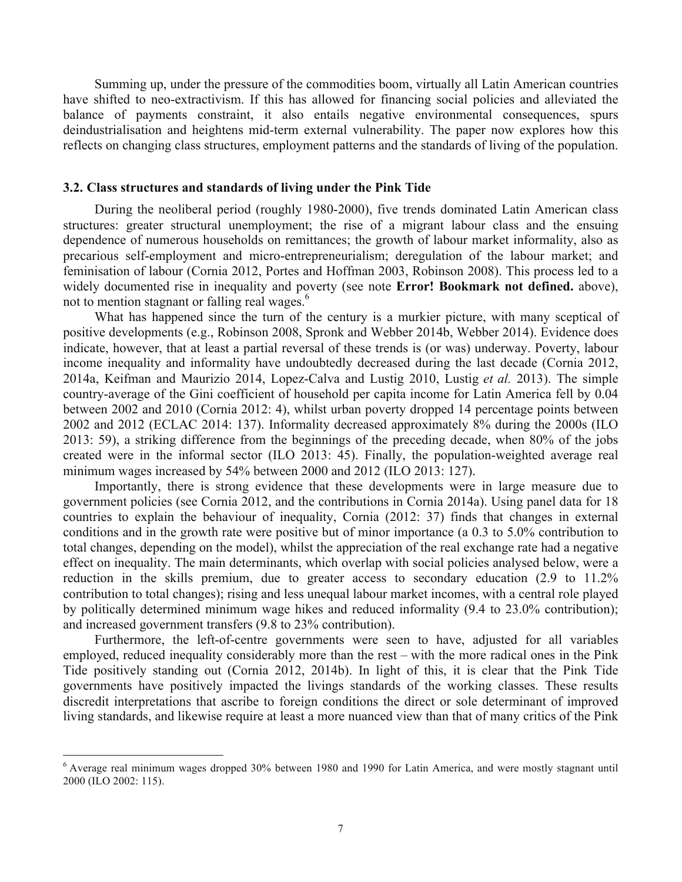Summing up, under the pressure of the commodities boom, virtually all Latin American countries have shifted to neo-extractivism. If this has allowed for financing social policies and alleviated the balance of payments constraint, it also entails negative environmental consequences, spurs deindustrialisation and heightens mid-term external vulnerability. The paper now explores how this reflects on changing class structures, employment patterns and the standards of living of the population.

#### **3.2. Class structures and standards of living under the Pink Tide**

During the neoliberal period (roughly 1980-2000), five trends dominated Latin American class structures: greater structural unemployment; the rise of a migrant labour class and the ensuing dependence of numerous households on remittances; the growth of labour market informality, also as precarious self-employment and micro-entrepreneurialism; deregulation of the labour market; and feminisation of labour (Cornia 2012, Portes and Hoffman 2003, Robinson 2008). This process led to a widely documented rise in inequality and poverty (see note **Error! Bookmark not defined.** above), not to mention stagnant or falling real wages.<sup>6</sup>

What has happened since the turn of the century is a murkier picture, with many sceptical of positive developments (e.g., Robinson 2008, Spronk and Webber 2014b, Webber 2014). Evidence does indicate, however, that at least a partial reversal of these trends is (or was) underway. Poverty, labour income inequality and informality have undoubtedly decreased during the last decade (Cornia 2012, 2014a, Keifman and Maurizio 2014, Lopez-Calva and Lustig 2010, Lustig *et al.* 2013). The simple country-average of the Gini coefficient of household per capita income for Latin America fell by 0.04 between 2002 and 2010 (Cornia 2012: 4), whilst urban poverty dropped 14 percentage points between 2002 and 2012 (ECLAC 2014: 137). Informality decreased approximately 8% during the 2000s (ILO 2013: 59), a striking difference from the beginnings of the preceding decade, when 80% of the jobs created were in the informal sector (ILO 2013: 45). Finally, the population-weighted average real minimum wages increased by 54% between 2000 and 2012 (ILO 2013: 127).

Importantly, there is strong evidence that these developments were in large measure due to government policies (see Cornia 2012, and the contributions in Cornia 2014a). Using panel data for 18 countries to explain the behaviour of inequality, Cornia (2012: 37) finds that changes in external conditions and in the growth rate were positive but of minor importance (a 0.3 to 5.0% contribution to total changes, depending on the model), whilst the appreciation of the real exchange rate had a negative effect on inequality. The main determinants, which overlap with social policies analysed below, were a reduction in the skills premium, due to greater access to secondary education (2.9 to 11.2% contribution to total changes); rising and less unequal labour market incomes, with a central role played by politically determined minimum wage hikes and reduced informality (9.4 to 23.0% contribution); and increased government transfers (9.8 to 23% contribution).

Furthermore, the left-of-centre governments were seen to have, adjusted for all variables employed, reduced inequality considerably more than the rest – with the more radical ones in the Pink Tide positively standing out (Cornia 2012, 2014b). In light of this, it is clear that the Pink Tide governments have positively impacted the livings standards of the working classes. These results discredit interpretations that ascribe to foreign conditions the direct or sole determinant of improved living standards, and likewise require at least a more nuanced view than that of many critics of the Pink

 <sup>6</sup> Average real minimum wages dropped 30% between 1980 and 1990 for Latin America, and were mostly stagnant until 2000 (ILO 2002: 115).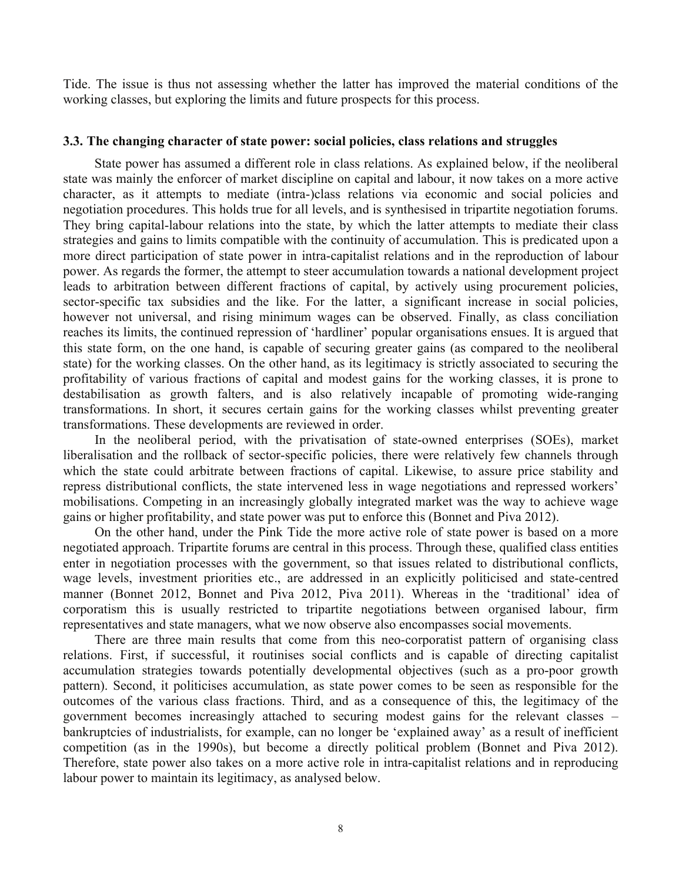Tide. The issue is thus not assessing whether the latter has improved the material conditions of the working classes, but exploring the limits and future prospects for this process.

### **3.3. The changing character of state power: social policies, class relations and struggles**

State power has assumed a different role in class relations. As explained below, if the neoliberal state was mainly the enforcer of market discipline on capital and labour, it now takes on a more active character, as it attempts to mediate (intra-)class relations via economic and social policies and negotiation procedures. This holds true for all levels, and is synthesised in tripartite negotiation forums. They bring capital-labour relations into the state, by which the latter attempts to mediate their class strategies and gains to limits compatible with the continuity of accumulation. This is predicated upon a more direct participation of state power in intra-capitalist relations and in the reproduction of labour power. As regards the former, the attempt to steer accumulation towards a national development project leads to arbitration between different fractions of capital, by actively using procurement policies, sector-specific tax subsidies and the like. For the latter, a significant increase in social policies, however not universal, and rising minimum wages can be observed. Finally, as class conciliation reaches its limits, the continued repression of 'hardliner' popular organisations ensues. It is argued that this state form, on the one hand, is capable of securing greater gains (as compared to the neoliberal state) for the working classes. On the other hand, as its legitimacy is strictly associated to securing the profitability of various fractions of capital and modest gains for the working classes, it is prone to destabilisation as growth falters, and is also relatively incapable of promoting wide-ranging transformations. In short, it secures certain gains for the working classes whilst preventing greater transformations. These developments are reviewed in order.

In the neoliberal period, with the privatisation of state-owned enterprises (SOEs), market liberalisation and the rollback of sector-specific policies, there were relatively few channels through which the state could arbitrate between fractions of capital. Likewise, to assure price stability and repress distributional conflicts, the state intervened less in wage negotiations and repressed workers' mobilisations. Competing in an increasingly globally integrated market was the way to achieve wage gains or higher profitability, and state power was put to enforce this (Bonnet and Piva 2012).

On the other hand, under the Pink Tide the more active role of state power is based on a more negotiated approach. Tripartite forums are central in this process. Through these, qualified class entities enter in negotiation processes with the government, so that issues related to distributional conflicts, wage levels, investment priorities etc., are addressed in an explicitly politicised and state-centred manner (Bonnet 2012, Bonnet and Piva 2012, Piva 2011). Whereas in the 'traditional' idea of corporatism this is usually restricted to tripartite negotiations between organised labour, firm representatives and state managers, what we now observe also encompasses social movements.

There are three main results that come from this neo-corporatist pattern of organising class relations. First, if successful, it routinises social conflicts and is capable of directing capitalist accumulation strategies towards potentially developmental objectives (such as a pro-poor growth pattern). Second, it politicises accumulation, as state power comes to be seen as responsible for the outcomes of the various class fractions. Third, and as a consequence of this, the legitimacy of the government becomes increasingly attached to securing modest gains for the relevant classes – bankruptcies of industrialists, for example, can no longer be 'explained away' as a result of inefficient competition (as in the 1990s), but become a directly political problem (Bonnet and Piva 2012). Therefore, state power also takes on a more active role in intra-capitalist relations and in reproducing labour power to maintain its legitimacy, as analysed below.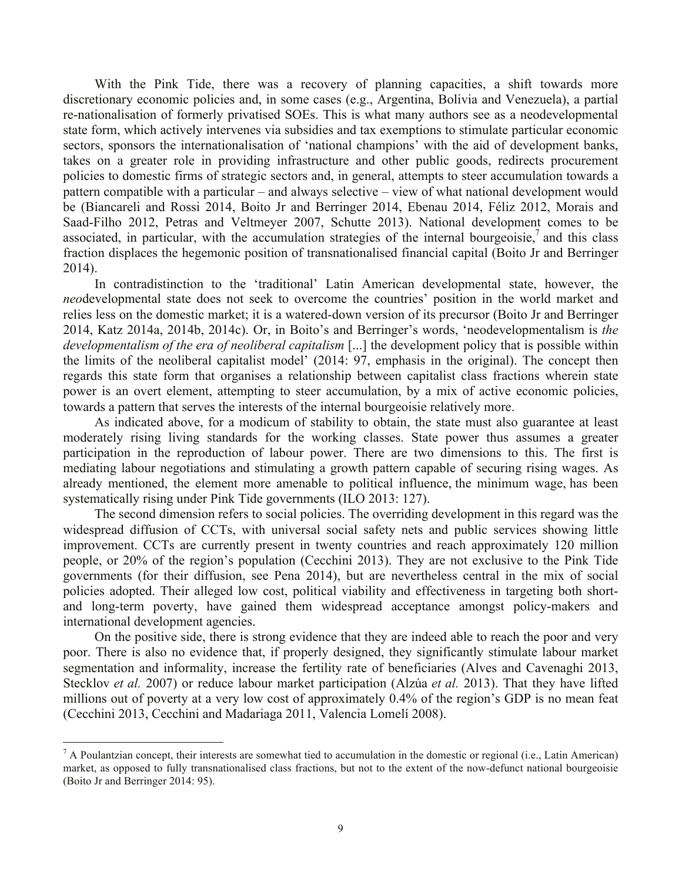With the Pink Tide, there was a recovery of planning capacities, a shift towards more discretionary economic policies and, in some cases (e.g., Argentina, Bolivia and Venezuela), a partial re-nationalisation of formerly privatised SOEs. This is what many authors see as a neodevelopmental state form, which actively intervenes via subsidies and tax exemptions to stimulate particular economic sectors, sponsors the internationalisation of 'national champions' with the aid of development banks, takes on a greater role in providing infrastructure and other public goods, redirects procurement policies to domestic firms of strategic sectors and, in general, attempts to steer accumulation towards a pattern compatible with a particular – and always selective – view of what national development would be (Biancareli and Rossi 2014, Boito Jr and Berringer 2014, Ebenau 2014, Féliz 2012, Morais and Saad-Filho 2012, Petras and Veltmeyer 2007, Schutte 2013). National development comes to be associated, in particular, with the accumulation strategies of the internal bourgeoisie, and this class fraction displaces the hegemonic position of transnationalised financial capital (Boito Jr and Berringer 2014).

In contradistinction to the 'traditional' Latin American developmental state, however, the *neo*developmental state does not seek to overcome the countries' position in the world market and relies less on the domestic market; it is a watered-down version of its precursor (Boito Jr and Berringer 2014, Katz 2014a, 2014b, 2014c). Or, in Boito's and Berringer's words, 'neodevelopmentalism is *the developmentalism of the era of neoliberal capitalism* [...] the development policy that is possible within the limits of the neoliberal capitalist model' (2014: 97, emphasis in the original). The concept then regards this state form that organises a relationship between capitalist class fractions wherein state power is an overt element, attempting to steer accumulation, by a mix of active economic policies, towards a pattern that serves the interests of the internal bourgeoisie relatively more.

As indicated above, for a modicum of stability to obtain, the state must also guarantee at least moderately rising living standards for the working classes. State power thus assumes a greater participation in the reproduction of labour power. There are two dimensions to this. The first is mediating labour negotiations and stimulating a growth pattern capable of securing rising wages. As already mentioned, the element more amenable to political influence, the minimum wage, has been systematically rising under Pink Tide governments (ILO 2013: 127).

The second dimension refers to social policies. The overriding development in this regard was the widespread diffusion of CCTs, with universal social safety nets and public services showing little improvement. CCTs are currently present in twenty countries and reach approximately 120 million people, or 20% of the region's population (Cecchini 2013). They are not exclusive to the Pink Tide governments (for their diffusion, see Pena 2014), but are nevertheless central in the mix of social policies adopted. Their alleged low cost, political viability and effectiveness in targeting both shortand long-term poverty, have gained them widespread acceptance amongst policy-makers and international development agencies.

On the positive side, there is strong evidence that they are indeed able to reach the poor and very poor. There is also no evidence that, if properly designed, they significantly stimulate labour market segmentation and informality, increase the fertility rate of beneficiaries (Alves and Cavenaghi 2013, Stecklov *et al.* 2007) or reduce labour market participation (Alzúa *et al.* 2013). That they have lifted millions out of poverty at a very low cost of approximately 0.4% of the region's GDP is no mean feat (Cecchini 2013, Cecchini and Madariaga 2011, Valencia Lomelí 2008).

 $^7$  A Poulantzian concept, their interests are somewhat tied to accumulation in the domestic or regional (i.e., Latin American) market, as opposed to fully transnationalised class fractions, but not to the extent of the now-defunct national bourgeoisie (Boito Jr and Berringer 2014: 95).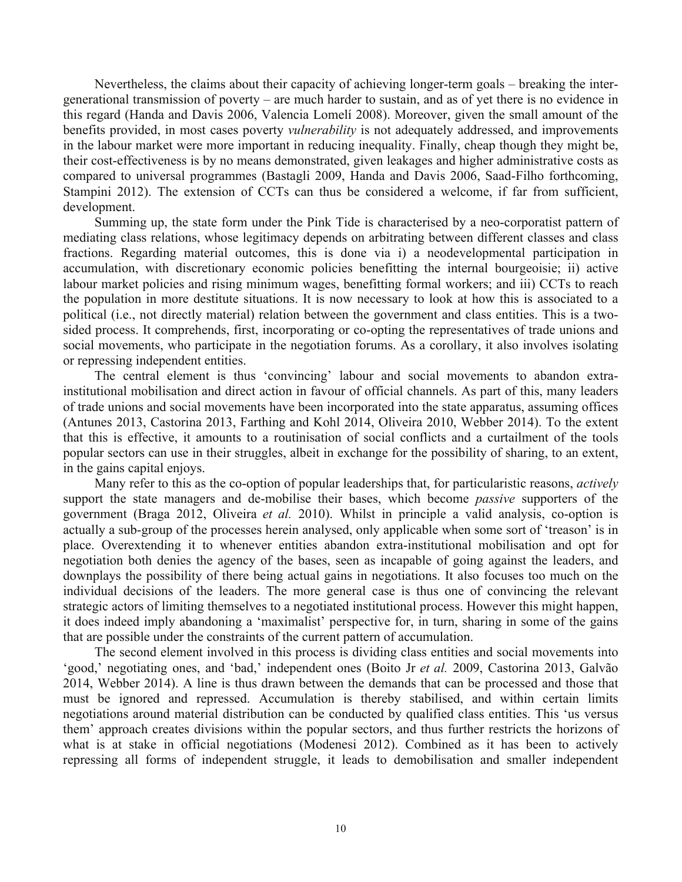Nevertheless, the claims about their capacity of achieving longer-term goals – breaking the intergenerational transmission of poverty – are much harder to sustain, and as of yet there is no evidence in this regard (Handa and Davis 2006, Valencia Lomelí 2008). Moreover, given the small amount of the benefits provided, in most cases poverty *vulnerability* is not adequately addressed, and improvements in the labour market were more important in reducing inequality. Finally, cheap though they might be, their cost-effectiveness is by no means demonstrated, given leakages and higher administrative costs as compared to universal programmes (Bastagli 2009, Handa and Davis 2006, Saad-Filho forthcoming, Stampini 2012). The extension of CCTs can thus be considered a welcome, if far from sufficient, development.

Summing up, the state form under the Pink Tide is characterised by a neo-corporatist pattern of mediating class relations, whose legitimacy depends on arbitrating between different classes and class fractions. Regarding material outcomes, this is done via i) a neodevelopmental participation in accumulation, with discretionary economic policies benefitting the internal bourgeoisie; ii) active labour market policies and rising minimum wages, benefitting formal workers; and iii) CCTs to reach the population in more destitute situations. It is now necessary to look at how this is associated to a political (i.e., not directly material) relation between the government and class entities. This is a twosided process. It comprehends, first, incorporating or co-opting the representatives of trade unions and social movements, who participate in the negotiation forums. As a corollary, it also involves isolating or repressing independent entities.

The central element is thus 'convincing' labour and social movements to abandon extrainstitutional mobilisation and direct action in favour of official channels. As part of this, many leaders of trade unions and social movements have been incorporated into the state apparatus, assuming offices (Antunes 2013, Castorina 2013, Farthing and Kohl 2014, Oliveira 2010, Webber 2014). To the extent that this is effective, it amounts to a routinisation of social conflicts and a curtailment of the tools popular sectors can use in their struggles, albeit in exchange for the possibility of sharing, to an extent, in the gains capital enjoys.

Many refer to this as the co-option of popular leaderships that, for particularistic reasons, *actively* support the state managers and de-mobilise their bases, which become *passive* supporters of the government (Braga 2012, Oliveira *et al.* 2010). Whilst in principle a valid analysis, co-option is actually a sub-group of the processes herein analysed, only applicable when some sort of 'treason' is in place. Overextending it to whenever entities abandon extra-institutional mobilisation and opt for negotiation both denies the agency of the bases, seen as incapable of going against the leaders, and downplays the possibility of there being actual gains in negotiations. It also focuses too much on the individual decisions of the leaders. The more general case is thus one of convincing the relevant strategic actors of limiting themselves to a negotiated institutional process. However this might happen, it does indeed imply abandoning a 'maximalist' perspective for, in turn, sharing in some of the gains that are possible under the constraints of the current pattern of accumulation.

The second element involved in this process is dividing class entities and social movements into 'good,' negotiating ones, and 'bad,' independent ones (Boito Jr *et al.* 2009, Castorina 2013, Galvão 2014, Webber 2014). A line is thus drawn between the demands that can be processed and those that must be ignored and repressed. Accumulation is thereby stabilised, and within certain limits negotiations around material distribution can be conducted by qualified class entities. This 'us versus them' approach creates divisions within the popular sectors, and thus further restricts the horizons of what is at stake in official negotiations (Modenesi 2012). Combined as it has been to actively repressing all forms of independent struggle, it leads to demobilisation and smaller independent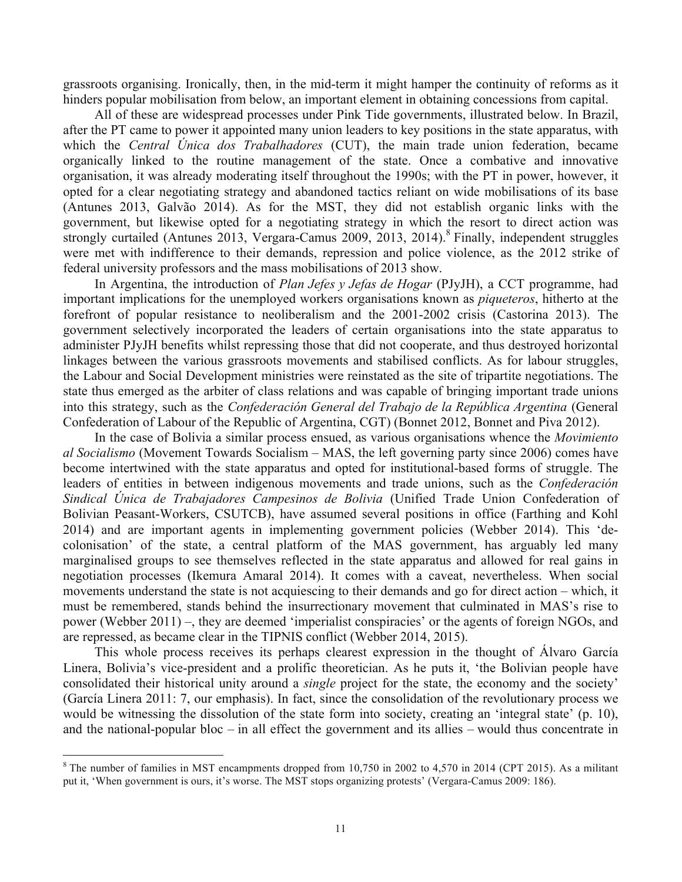grassroots organising. Ironically, then, in the mid-term it might hamper the continuity of reforms as it hinders popular mobilisation from below, an important element in obtaining concessions from capital.

All of these are widespread processes under Pink Tide governments, illustrated below. In Brazil, after the PT came to power it appointed many union leaders to key positions in the state apparatus, with which the *Central Única dos Trabalhadores* (CUT), the main trade union federation, became organically linked to the routine management of the state. Once a combative and innovative organisation, it was already moderating itself throughout the 1990s; with the PT in power, however, it opted for a clear negotiating strategy and abandoned tactics reliant on wide mobilisations of its base (Antunes 2013, Galvão 2014). As for the MST, they did not establish organic links with the government, but likewise opted for a negotiating strategy in which the resort to direct action was strongly curtailed (Antunes 2013, Vergara-Camus 2009, 2013, 2014).<sup>8</sup> Finally, independent struggles were met with indifference to their demands, repression and police violence, as the 2012 strike of federal university professors and the mass mobilisations of 2013 show.

In Argentina, the introduction of *Plan Jefes y Jefas de Hogar* (PJyJH), a CCT programme, had important implications for the unemployed workers organisations known as *piqueteros*, hitherto at the forefront of popular resistance to neoliberalism and the 2001-2002 crisis (Castorina 2013). The government selectively incorporated the leaders of certain organisations into the state apparatus to administer PJyJH benefits whilst repressing those that did not cooperate, and thus destroyed horizontal linkages between the various grassroots movements and stabilised conflicts. As for labour struggles, the Labour and Social Development ministries were reinstated as the site of tripartite negotiations. The state thus emerged as the arbiter of class relations and was capable of bringing important trade unions into this strategy, such as the *Confederación General del Trabajo de la República Argentina* (General Confederation of Labour of the Republic of Argentina, CGT) (Bonnet 2012, Bonnet and Piva 2012).

In the case of Bolivia a similar process ensued, as various organisations whence the *Movimiento al Socialismo* (Movement Towards Socialism – MAS, the left governing party since 2006) comes have become intertwined with the state apparatus and opted for institutional-based forms of struggle. The leaders of entities in between indigenous movements and trade unions, such as the *Confederación Sindical Única de Trabajadores Campesinos de Bolivia* (Unified Trade Union Confederation of Bolivian Peasant-Workers, CSUTCB), have assumed several positions in office (Farthing and Kohl 2014) and are important agents in implementing government policies (Webber 2014). This 'decolonisation' of the state, a central platform of the MAS government, has arguably led many marginalised groups to see themselves reflected in the state apparatus and allowed for real gains in negotiation processes (Ikemura Amaral 2014). It comes with a caveat, nevertheless. When social movements understand the state is not acquiescing to their demands and go for direct action – which, it must be remembered, stands behind the insurrectionary movement that culminated in MAS's rise to power (Webber 2011) –, they are deemed 'imperialist conspiracies' or the agents of foreign NGOs, and are repressed, as became clear in the TIPNIS conflict (Webber 2014, 2015).

This whole process receives its perhaps clearest expression in the thought of Álvaro García Linera, Bolivia's vice-president and a prolific theoretician. As he puts it, 'the Bolivian people have consolidated their historical unity around a *single* project for the state, the economy and the society' (García Linera 2011: 7, our emphasis). In fact, since the consolidation of the revolutionary process we would be witnessing the dissolution of the state form into society, creating an 'integral state' (p. 10), and the national-popular bloc – in all effect the government and its allies – would thus concentrate in

 $8$  The number of families in MST encampments dropped from 10,750 in 2002 to 4,570 in 2014 (CPT 2015). As a militant put it, 'When government is ours, it's worse. The MST stops organizing protests' (Vergara-Camus 2009: 186).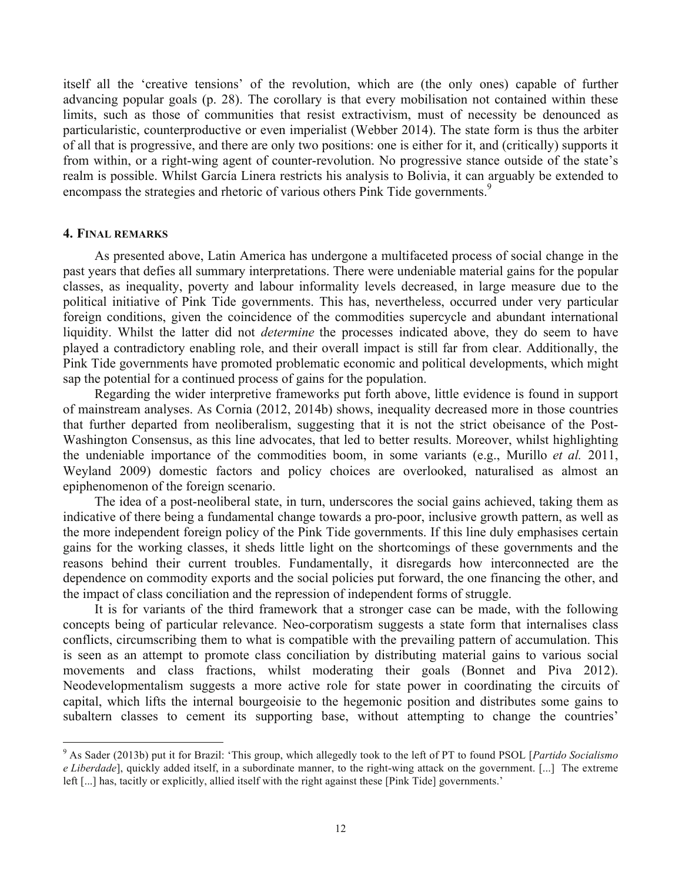itself all the 'creative tensions' of the revolution, which are (the only ones) capable of further advancing popular goals (p. 28). The corollary is that every mobilisation not contained within these limits, such as those of communities that resist extractivism, must of necessity be denounced as particularistic, counterproductive or even imperialist (Webber 2014). The state form is thus the arbiter of all that is progressive, and there are only two positions: one is either for it, and (critically) supports it from within, or a right-wing agent of counter-revolution. No progressive stance outside of the state's realm is possible. Whilst García Linera restricts his analysis to Bolivia, it can arguably be extended to encompass the strategies and rhetoric of various others Pink Tide governments.<sup>9</sup>

#### **4. FINAL REMARKS**

As presented above, Latin America has undergone a multifaceted process of social change in the past years that defies all summary interpretations. There were undeniable material gains for the popular classes, as inequality, poverty and labour informality levels decreased, in large measure due to the political initiative of Pink Tide governments. This has, nevertheless, occurred under very particular foreign conditions, given the coincidence of the commodities supercycle and abundant international liquidity. Whilst the latter did not *determine* the processes indicated above, they do seem to have played a contradictory enabling role, and their overall impact is still far from clear. Additionally, the Pink Tide governments have promoted problematic economic and political developments, which might sap the potential for a continued process of gains for the population.

Regarding the wider interpretive frameworks put forth above, little evidence is found in support of mainstream analyses. As Cornia (2012, 2014b) shows, inequality decreased more in those countries that further departed from neoliberalism, suggesting that it is not the strict obeisance of the Post-Washington Consensus, as this line advocates, that led to better results. Moreover, whilst highlighting the undeniable importance of the commodities boom, in some variants (e.g., Murillo *et al.* 2011, Weyland 2009) domestic factors and policy choices are overlooked, naturalised as almost an epiphenomenon of the foreign scenario.

The idea of a post-neoliberal state, in turn, underscores the social gains achieved, taking them as indicative of there being a fundamental change towards a pro-poor, inclusive growth pattern, as well as the more independent foreign policy of the Pink Tide governments. If this line duly emphasises certain gains for the working classes, it sheds little light on the shortcomings of these governments and the reasons behind their current troubles. Fundamentally, it disregards how interconnected are the dependence on commodity exports and the social policies put forward, the one financing the other, and the impact of class conciliation and the repression of independent forms of struggle.

It is for variants of the third framework that a stronger case can be made, with the following concepts being of particular relevance. Neo-corporatism suggests a state form that internalises class conflicts, circumscribing them to what is compatible with the prevailing pattern of accumulation. This is seen as an attempt to promote class conciliation by distributing material gains to various social movements and class fractions, whilst moderating their goals (Bonnet and Piva 2012). Neodevelopmentalism suggests a more active role for state power in coordinating the circuits of capital, which lifts the internal bourgeoisie to the hegemonic position and distributes some gains to subaltern classes to cement its supporting base, without attempting to change the countries'

 <sup>9</sup> As Sader (2013b) put it for Brazil: 'This group, which allegedly took to the left of PT to found PSOL [*Partido Socialismo e Liberdade*], quickly added itself, in a subordinate manner, to the right-wing attack on the government. [...] The extreme left [...] has, tacitly or explicitly, allied itself with the right against these [Pink Tide] governments.'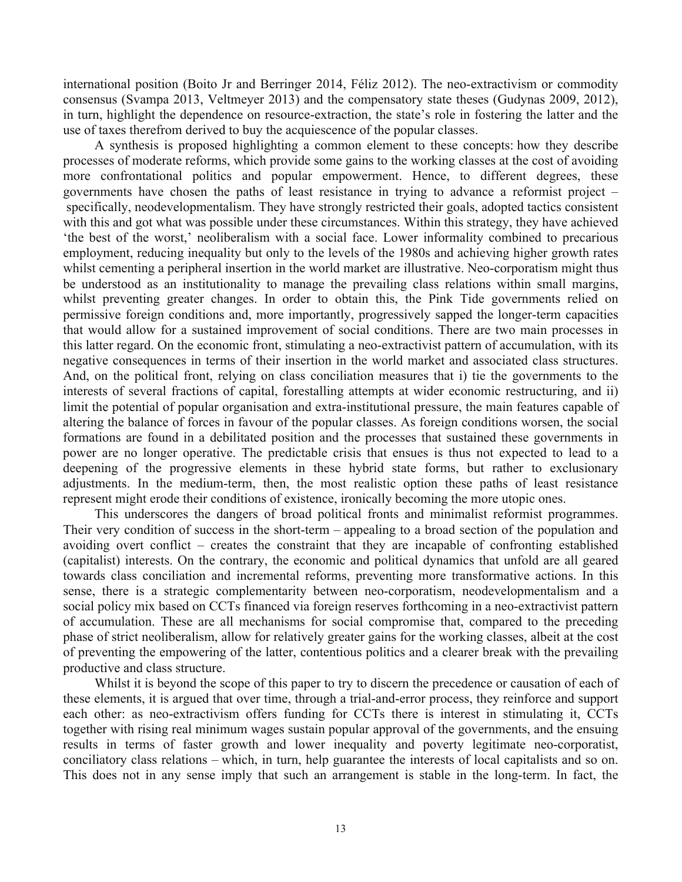international position (Boito Jr and Berringer 2014, Féliz 2012). The neo-extractivism or commodity consensus (Svampa 2013, Veltmeyer 2013) and the compensatory state theses (Gudynas 2009, 2012), in turn, highlight the dependence on resource-extraction, the state's role in fostering the latter and the use of taxes therefrom derived to buy the acquiescence of the popular classes.

A synthesis is proposed highlighting a common element to these concepts: how they describe processes of moderate reforms, which provide some gains to the working classes at the cost of avoiding more confrontational politics and popular empowerment. Hence, to different degrees, these governments have chosen the paths of least resistance in trying to advance a reformist project – specifically, neodevelopmentalism. They have strongly restricted their goals, adopted tactics consistent with this and got what was possible under these circumstances. Within this strategy, they have achieved 'the best of the worst,' neoliberalism with a social face. Lower informality combined to precarious employment, reducing inequality but only to the levels of the 1980s and achieving higher growth rates whilst cementing a peripheral insertion in the world market are illustrative. Neo-corporatism might thus be understood as an institutionality to manage the prevailing class relations within small margins, whilst preventing greater changes. In order to obtain this, the Pink Tide governments relied on permissive foreign conditions and, more importantly, progressively sapped the longer-term capacities that would allow for a sustained improvement of social conditions. There are two main processes in this latter regard. On the economic front, stimulating a neo-extractivist pattern of accumulation, with its negative consequences in terms of their insertion in the world market and associated class structures. And, on the political front, relying on class conciliation measures that i) tie the governments to the interests of several fractions of capital, forestalling attempts at wider economic restructuring, and ii) limit the potential of popular organisation and extra-institutional pressure, the main features capable of altering the balance of forces in favour of the popular classes. As foreign conditions worsen, the social formations are found in a debilitated position and the processes that sustained these governments in power are no longer operative. The predictable crisis that ensues is thus not expected to lead to a deepening of the progressive elements in these hybrid state forms, but rather to exclusionary adjustments. In the medium-term, then, the most realistic option these paths of least resistance represent might erode their conditions of existence, ironically becoming the more utopic ones.

This underscores the dangers of broad political fronts and minimalist reformist programmes. Their very condition of success in the short-term – appealing to a broad section of the population and avoiding overt conflict – creates the constraint that they are incapable of confronting established (capitalist) interests. On the contrary, the economic and political dynamics that unfold are all geared towards class conciliation and incremental reforms, preventing more transformative actions. In this sense, there is a strategic complementarity between neo-corporatism, neodevelopmentalism and a social policy mix based on CCTs financed via foreign reserves forthcoming in a neo-extractivist pattern of accumulation. These are all mechanisms for social compromise that, compared to the preceding phase of strict neoliberalism, allow for relatively greater gains for the working classes, albeit at the cost of preventing the empowering of the latter, contentious politics and a clearer break with the prevailing productive and class structure.

Whilst it is beyond the scope of this paper to try to discern the precedence or causation of each of these elements, it is argued that over time, through a trial-and-error process, they reinforce and support each other: as neo-extractivism offers funding for CCTs there is interest in stimulating it, CCTs together with rising real minimum wages sustain popular approval of the governments, and the ensuing results in terms of faster growth and lower inequality and poverty legitimate neo-corporatist, conciliatory class relations – which, in turn, help guarantee the interests of local capitalists and so on. This does not in any sense imply that such an arrangement is stable in the long-term. In fact, the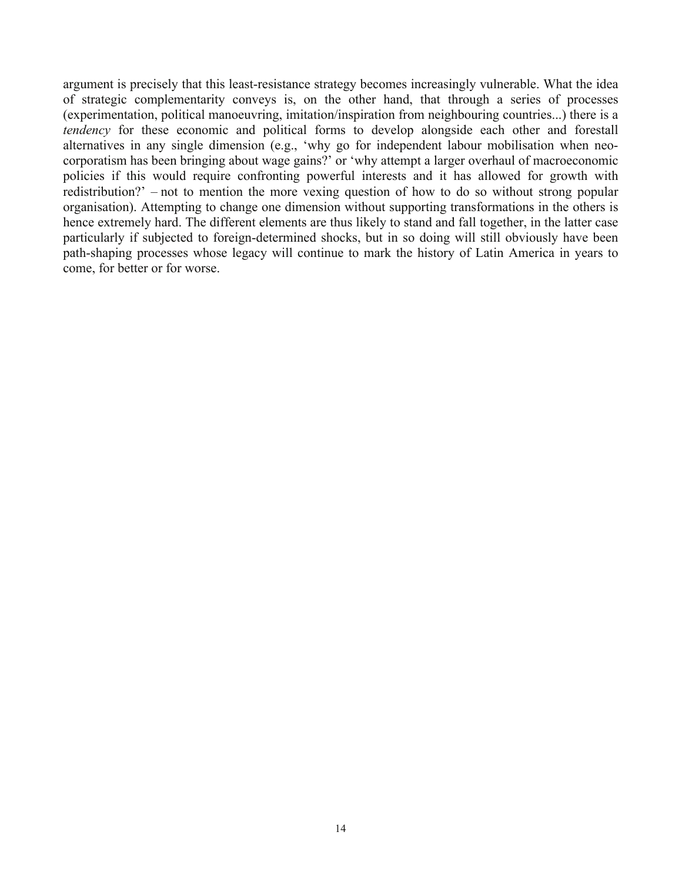argument is precisely that this least-resistance strategy becomes increasingly vulnerable. What the idea of strategic complementarity conveys is, on the other hand, that through a series of processes (experimentation, political manoeuvring, imitation/inspiration from neighbouring countries...) there is a *tendency* for these economic and political forms to develop alongside each other and forestall alternatives in any single dimension (e.g., 'why go for independent labour mobilisation when neocorporatism has been bringing about wage gains?' or 'why attempt a larger overhaul of macroeconomic policies if this would require confronting powerful interests and it has allowed for growth with redistribution?' – not to mention the more vexing question of how to do so without strong popular organisation). Attempting to change one dimension without supporting transformations in the others is hence extremely hard. The different elements are thus likely to stand and fall together, in the latter case particularly if subjected to foreign-determined shocks, but in so doing will still obviously have been path-shaping processes whose legacy will continue to mark the history of Latin America in years to come, for better or for worse.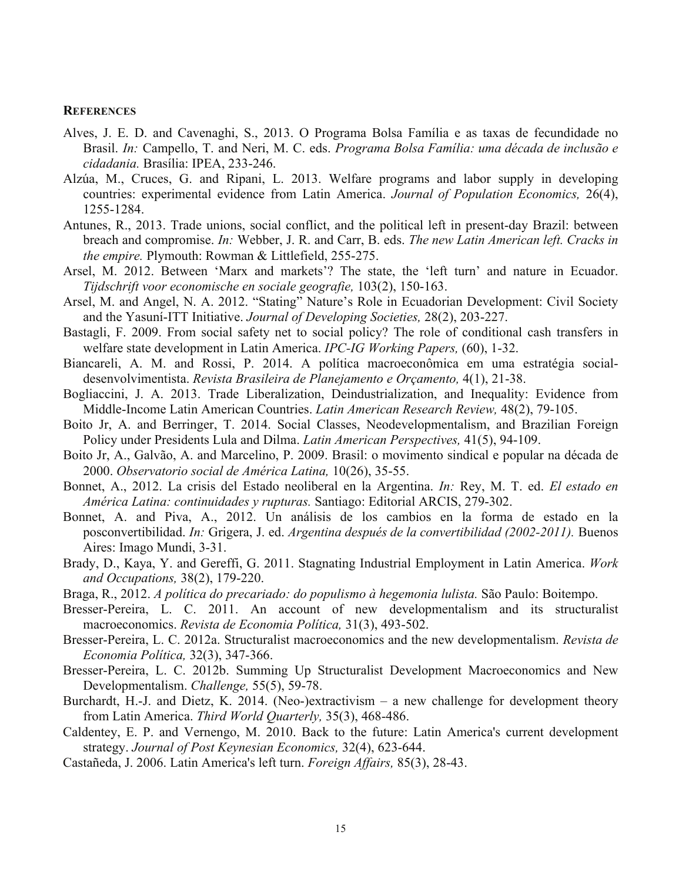#### **REFERENCES**

- Alves, J. E. D. and Cavenaghi, S., 2013. O Programa Bolsa Família e as taxas de fecundidade no Brasil. *In:* Campello, T. and Neri, M. C. eds. *Programa Bolsa Família: uma década de inclusão e cidadania.* Brasília: IPEA, 233-246.
- Alzúa, M., Cruces, G. and Ripani, L. 2013. Welfare programs and labor supply in developing countries: experimental evidence from Latin America. *Journal of Population Economics,* 26(4), 1255-1284.
- Antunes, R., 2013. Trade unions, social conflict, and the political left in present-day Brazil: between breach and compromise. *In:* Webber, J. R. and Carr, B. eds. *The new Latin American left. Cracks in the empire.* Plymouth: Rowman & Littlefield, 255-275.
- Arsel, M. 2012. Between 'Marx and markets'? The state, the 'left turn' and nature in Ecuador. *Tijdschrift voor economische en sociale geografie,* 103(2), 150-163.
- Arsel, M. and Angel, N. A. 2012. "Stating" Nature's Role in Ecuadorian Development: Civil Society and the Yasuní-ITT Initiative. *Journal of Developing Societies,* 28(2), 203-227.
- Bastagli, F. 2009. From social safety net to social policy? The role of conditional cash transfers in welfare state development in Latin America. *IPC-IG Working Papers,* (60), 1-32.
- Biancareli, A. M. and Rossi, P. 2014. A política macroeconômica em uma estratégia socialdesenvolvimentista. *Revista Brasileira de Planejamento e Orçamento,* 4(1), 21-38.
- Bogliaccini, J. A. 2013. Trade Liberalization, Deindustrialization, and Inequality: Evidence from Middle-Income Latin American Countries. *Latin American Research Review,* 48(2), 79-105.
- Boito Jr, A. and Berringer, T. 2014. Social Classes, Neodevelopmentalism, and Brazilian Foreign Policy under Presidents Lula and Dilma. *Latin American Perspectives,* 41(5), 94-109.
- Boito Jr, A., Galvão, A. and Marcelino, P. 2009. Brasil: o movimento sindical e popular na década de 2000. *Observatorio social de América Latina,* 10(26), 35-55.
- Bonnet, A., 2012. La crisis del Estado neoliberal en la Argentina. *In:* Rey, M. T. ed. *El estado en América Latina: continuidades y rupturas.* Santiago: Editorial ARCIS, 279-302.
- Bonnet, A. and Piva, A., 2012. Un análisis de los cambios en la forma de estado en la posconvertibilidad. *In:* Grigera, J. ed. *Argentina después de la convertibilidad (2002-2011).* Buenos Aires: Imago Mundi, 3-31.
- Brady, D., Kaya, Y. and Gereffi, G. 2011. Stagnating Industrial Employment in Latin America. *Work and Occupations,* 38(2), 179-220.
- Braga, R., 2012. *A política do precariado: do populismo à hegemonia lulista.* São Paulo: Boitempo.
- Bresser-Pereira, L. C. 2011. An account of new developmentalism and its structuralist macroeconomics. *Revista de Economia Política,* 31(3), 493-502.
- Bresser-Pereira, L. C. 2012a. Structuralist macroeconomics and the new developmentalism. *Revista de Economia Política,* 32(3), 347-366.
- Bresser-Pereira, L. C. 2012b. Summing Up Structuralist Development Macroeconomics and New Developmentalism. *Challenge,* 55(5), 59-78.
- Burchardt, H.-J. and Dietz, K. 2014. (Neo-)extractivism a new challenge for development theory from Latin America. *Third World Quarterly,* 35(3), 468-486.
- Caldentey, E. P. and Vernengo, M. 2010. Back to the future: Latin America's current development strategy. *Journal of Post Keynesian Economics,* 32(4), 623-644.
- Castañeda, J. 2006. Latin America's left turn. *Foreign Affairs,* 85(3), 28-43.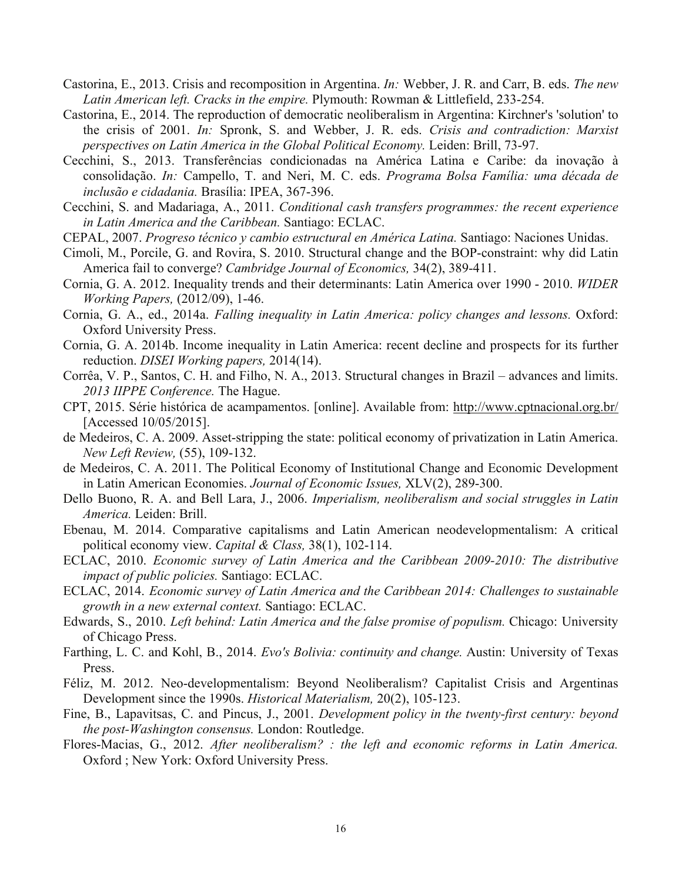- Castorina, E., 2013. Crisis and recomposition in Argentina. *In:* Webber, J. R. and Carr, B. eds. *The new Latin American left. Cracks in the empire.* Plymouth: Rowman & Littlefield, 233-254.
- Castorina, E., 2014. The reproduction of democratic neoliberalism in Argentina: Kirchner's 'solution' to the crisis of 2001. *In:* Spronk, S. and Webber, J. R. eds. *Crisis and contradiction: Marxist perspectives on Latin America in the Global Political Economy.* Leiden: Brill, 73-97.
- Cecchini, S., 2013. Transferências condicionadas na América Latina e Caribe: da inovação à consolidação. *In:* Campello, T. and Neri, M. C. eds. *Programa Bolsa Família: uma década de inclusão e cidadania.* Brasília: IPEA, 367-396.
- Cecchini, S. and Madariaga, A., 2011. *Conditional cash transfers programmes: the recent experience in Latin America and the Caribbean.* Santiago: ECLAC.
- CEPAL, 2007. *Progreso técnico y cambio estructural en América Latina.* Santiago: Naciones Unidas.
- Cimoli, M., Porcile, G. and Rovira, S. 2010. Structural change and the BOP-constraint: why did Latin America fail to converge? *Cambridge Journal of Economics,* 34(2), 389-411.
- Cornia, G. A. 2012. Inequality trends and their determinants: Latin America over 1990 2010. *WIDER Working Papers,* (2012/09), 1-46.
- Cornia, G. A., ed., 2014a. *Falling inequality in Latin America: policy changes and lessons.* Oxford: Oxford University Press.
- Cornia, G. A. 2014b. Income inequality in Latin America: recent decline and prospects for its further reduction. *DISEI Working papers,* 2014(14).
- Corrêa, V. P., Santos, C. H. and Filho, N. A., 2013. Structural changes in Brazil advances and limits. *2013 IIPPE Conference.* The Hague.
- CPT, 2015. Série histórica de acampamentos. [online]. Available from: http://www.cptnacional.org.br/ [Accessed 10/05/2015].
- de Medeiros, C. A. 2009. Asset-stripping the state: political economy of privatization in Latin America. *New Left Review,* (55), 109-132.
- de Medeiros, C. A. 2011. The Political Economy of Institutional Change and Economic Development in Latin American Economies. *Journal of Economic Issues,* XLV(2), 289-300.
- Dello Buono, R. A. and Bell Lara, J., 2006. *Imperialism, neoliberalism and social struggles in Latin America.* Leiden: Brill.
- Ebenau, M. 2014. Comparative capitalisms and Latin American neodevelopmentalism: A critical political economy view. *Capital & Class,* 38(1), 102-114.
- ECLAC, 2010. *Economic survey of Latin America and the Caribbean 2009-2010: The distributive impact of public policies.* Santiago: ECLAC.
- ECLAC, 2014. *Economic survey of Latin America and the Caribbean 2014: Challenges to sustainable growth in a new external context.* Santiago: ECLAC.
- Edwards, S., 2010. *Left behind: Latin America and the false promise of populism.* Chicago: University of Chicago Press.
- Farthing, L. C. and Kohl, B., 2014. *Evo's Bolivia: continuity and change.* Austin: University of Texas Press.
- Féliz, M. 2012. Neo-developmentalism: Beyond Neoliberalism? Capitalist Crisis and Argentinas Development since the 1990s. *Historical Materialism,* 20(2), 105-123.
- Fine, B., Lapavitsas, C. and Pincus, J., 2001. *Development policy in the twenty-first century: beyond the post-Washington consensus.* London: Routledge.
- Flores-Macias, G., 2012. *After neoliberalism? : the left and economic reforms in Latin America.*  Oxford ; New York: Oxford University Press.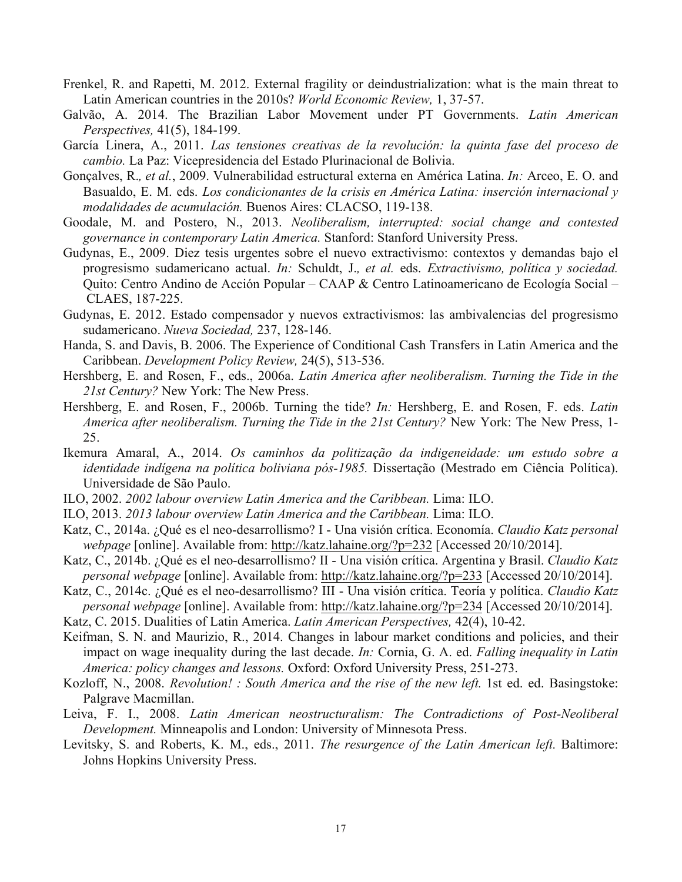- Frenkel, R. and Rapetti, M. 2012. External fragility or deindustrialization: what is the main threat to Latin American countries in the 2010s? *World Economic Review,* 1, 37-57.
- Galvão, A. 2014. The Brazilian Labor Movement under PT Governments. *Latin American Perspectives,* 41(5), 184-199.
- García Linera, A., 2011. *Las tensiones creativas de la revolución: la quinta fase del proceso de cambio.* La Paz: Vicepresidencia del Estado Plurinacional de Bolivia.
- Gonçalves, R.*, et al.*, 2009. Vulnerabilidad estructural externa en América Latina. *In:* Arceo, E. O. and Basualdo, E. M. eds. *Los condicionantes de la crisis en América Latina: inserción internacional y modalidades de acumulación.* Buenos Aires: CLACSO, 119-138.
- Goodale, M. and Postero, N., 2013. *Neoliberalism, interrupted: social change and contested governance in contemporary Latin America.* Stanford: Stanford University Press.
- Gudynas, E., 2009. Diez tesis urgentes sobre el nuevo extractivismo: contextos y demandas bajo el progresismo sudamericano actual. *In:* Schuldt, J.*, et al.* eds. *Extractivismo, política y sociedad.* Quito: Centro Andino de Acción Popular – CAAP & Centro Latinoamericano de Ecología Social – CLAES, 187-225.
- Gudynas, E. 2012. Estado compensador y nuevos extractivismos: las ambivalencias del progresismo sudamericano. *Nueva Sociedad,* 237, 128-146.
- Handa, S. and Davis, B. 2006. The Experience of Conditional Cash Transfers in Latin America and the Caribbean. *Development Policy Review,* 24(5), 513-536.
- Hershberg, E. and Rosen, F., eds., 2006a. *Latin America after neoliberalism. Turning the Tide in the 21st Century?* New York: The New Press.
- Hershberg, E. and Rosen, F., 2006b. Turning the tide? *In:* Hershberg, E. and Rosen, F. eds. *Latin America after neoliberalism. Turning the Tide in the 21st Century?* New York: The New Press, 1- 25.
- Ikemura Amaral, A., 2014. *Os caminhos da politização da indigeneidade: um estudo sobre a identidade indígena na política boliviana pós-1985.* Dissertação (Mestrado em Ciência Política). Universidade de São Paulo.
- ILO, 2002. *2002 labour overview Latin America and the Caribbean.* Lima: ILO.
- ILO, 2013. *2013 labour overview Latin America and the Caribbean.* Lima: ILO.
- Katz, C., 2014a. ¿Qué es el neo-desarrollismo? I Una visión crítica. Economía. *Claudio Katz personal webpage* [online]. Available from: http://katz.lahaine.org/?p=232 [Accessed 20/10/2014].
- Katz, C., 2014b. ¿Qué es el neo-desarrollismo? II Una visión crítica. Argentina y Brasil. *Claudio Katz personal webpage* [online]. Available from: http://katz.lahaine.org/?p=233 [Accessed 20/10/2014].
- Katz, C., 2014c. ¿Qué es el neo-desarrollismo? III Una visión crítica. Teoría y política. *Claudio Katz personal webpage* [online]. Available from: http://katz.lahaine.org/?p=234 [Accessed 20/10/2014].
- Katz, C. 2015. Dualities of Latin America. *Latin American Perspectives,* 42(4), 10-42.
- Keifman, S. N. and Maurizio, R., 2014. Changes in labour market conditions and policies, and their impact on wage inequality during the last decade. *In:* Cornia, G. A. ed. *Falling inequality in Latin America: policy changes and lessons.* Oxford: Oxford University Press, 251-273.
- Kozloff, N., 2008. *Revolution! : South America and the rise of the new left.* 1st ed. ed. Basingstoke: Palgrave Macmillan.
- Leiva, F. I., 2008. *Latin American neostructuralism: The Contradictions of Post-Neoliberal Development.* Minneapolis and London: University of Minnesota Press.
- Levitsky, S. and Roberts, K. M., eds., 2011. *The resurgence of the Latin American left.* Baltimore: Johns Hopkins University Press.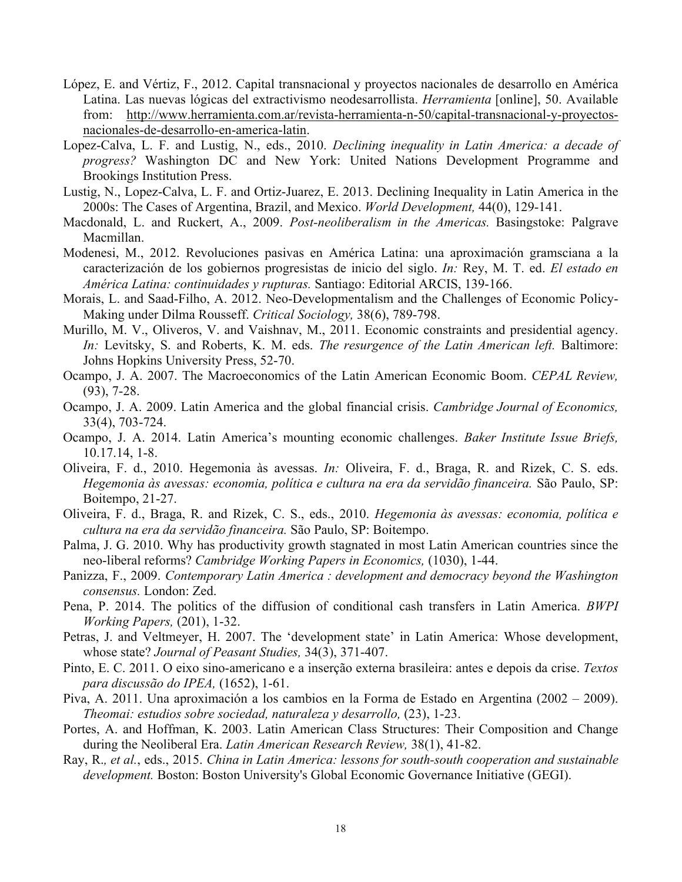- López, E. and Vértiz, F., 2012. Capital transnacional y proyectos nacionales de desarrollo en América Latina. Las nuevas lógicas del extractivismo neodesarrollista. *Herramienta* [online], 50. Available from: http://www.herramienta.com.ar/revista-herramienta-n-50/capital-transnacional-y-proyectosnacionales-de-desarrollo-en-america-latin.
- Lopez-Calva, L. F. and Lustig, N., eds., 2010. *Declining inequality in Latin America: a decade of progress?* Washington DC and New York: United Nations Development Programme and Brookings Institution Press.
- Lustig, N., Lopez-Calva, L. F. and Ortiz-Juarez, E. 2013. Declining Inequality in Latin America in the 2000s: The Cases of Argentina, Brazil, and Mexico. *World Development,* 44(0), 129-141.
- Macdonald, L. and Ruckert, A., 2009. *Post-neoliberalism in the Americas.* Basingstoke: Palgrave Macmillan.
- Modenesi, M., 2012. Revoluciones pasivas en América Latina: una aproximación gramsciana a la caracterización de los gobiernos progresistas de inicio del siglo. *In:* Rey, M. T. ed. *El estado en América Latina: continuidades y rupturas.* Santiago: Editorial ARCIS, 139-166.
- Morais, L. and Saad-Filho, A. 2012. Neo-Developmentalism and the Challenges of Economic Policy-Making under Dilma Rousseff. *Critical Sociology,* 38(6), 789-798.
- Murillo, M. V., Oliveros, V. and Vaishnav, M., 2011. Economic constraints and presidential agency. *In:* Levitsky, S. and Roberts, K. M. eds. *The resurgence of the Latin American left.* Baltimore: Johns Hopkins University Press, 52-70.
- Ocampo, J. A. 2007. The Macroeconomics of the Latin American Economic Boom. *CEPAL Review,* (93), 7-28.
- Ocampo, J. A. 2009. Latin America and the global financial crisis. *Cambridge Journal of Economics,* 33(4), 703-724.
- Ocampo, J. A. 2014. Latin America's mounting economic challenges. *Baker Institute Issue Briefs,* 10.17.14, 1-8.
- Oliveira, F. d., 2010. Hegemonia às avessas. *In:* Oliveira, F. d., Braga, R. and Rizek, C. S. eds. *Hegemonia às avessas: economia, política e cultura na era da servidão financeira.* São Paulo, SP: Boitempo, 21-27.
- Oliveira, F. d., Braga, R. and Rizek, C. S., eds., 2010. *Hegemonia às avessas: economia, política e cultura na era da servidão financeira.* São Paulo, SP: Boitempo.
- Palma, J. G. 2010. Why has productivity growth stagnated in most Latin American countries since the neo-liberal reforms? *Cambridge Working Papers in Economics,* (1030), 1-44.
- Panizza, F., 2009. *Contemporary Latin America : development and democracy beyond the Washington consensus.* London: Zed.
- Pena, P. 2014. The politics of the diffusion of conditional cash transfers in Latin America. *BWPI Working Papers,* (201), 1-32.
- Petras, J. and Veltmeyer, H. 2007. The 'development state' in Latin America: Whose development, whose state? *Journal of Peasant Studies,* 34(3), 371-407.
- Pinto, E. C. 2011. O eixo sino-americano e a inserção externa brasileira: antes e depois da crise. *Textos para discussão do IPEA,* (1652), 1-61.
- Piva, A. 2011. Una aproximación a los cambios en la Forma de Estado en Argentina (2002 2009). *Theomai: estudios sobre sociedad, naturaleza y desarrollo,* (23), 1-23.
- Portes, A. and Hoffman, K. 2003. Latin American Class Structures: Their Composition and Change during the Neoliberal Era. *Latin American Research Review,* 38(1), 41-82.
- Ray, R.*, et al.*, eds., 2015. *China in Latin America: lessons for south-south cooperation and sustainable development.* Boston: Boston University's Global Economic Governance Initiative (GEGI).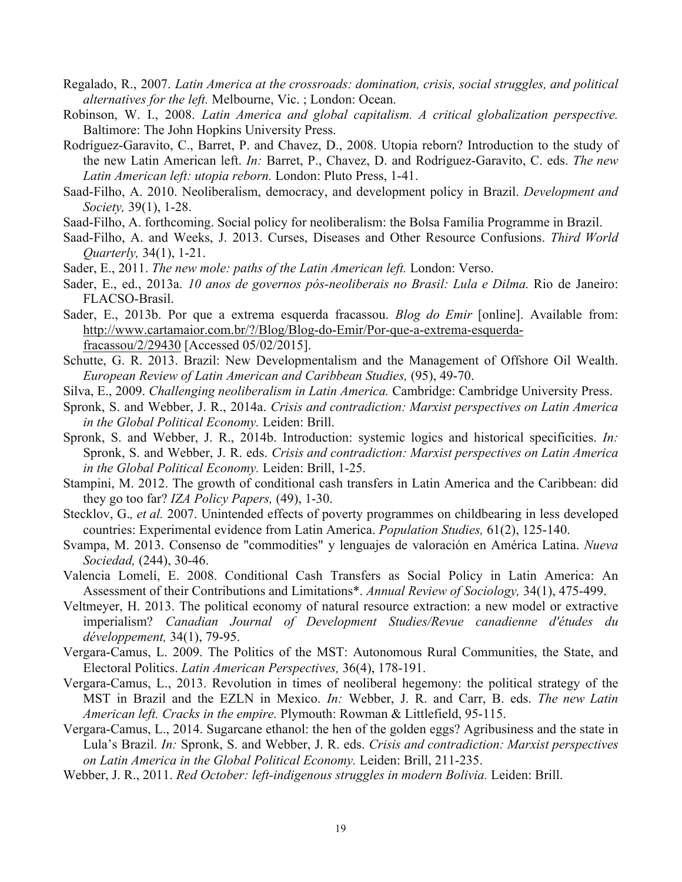- Regalado, R., 2007. *Latin America at the crossroads: domination, crisis, social struggles, and political alternatives for the left.* Melbourne, Vic. ; London: Ocean.
- Robinson, W. I., 2008. *Latin America and global capitalism. A critical globalization perspective.*  Baltimore: The John Hopkins University Press.
- Rodríguez-Garavito, C., Barret, P. and Chavez, D., 2008. Utopia reborn? Introduction to the study of the new Latin American left. *In:* Barret, P., Chavez, D. and Rodríguez-Garavito, C. eds. *The new Latin American left: utopia reborn.* London: Pluto Press, 1-41.
- Saad-Filho, A. 2010. Neoliberalism, democracy, and development policy in Brazil. *Development and Society,* 39(1), 1-28.
- Saad-Filho, A. forthcoming. Social policy for neoliberalism: the Bolsa Família Programme in Brazil.
- Saad-Filho, A. and Weeks, J. 2013. Curses, Diseases and Other Resource Confusions. *Third World Quarterly,* 34(1), 1-21.
- Sader, E., 2011. *The new mole: paths of the Latin American left.* London: Verso.
- Sader, E., ed., 2013a. *10 anos de governos pós-neoliberais no Brasil: Lula e Dilma.* Rio de Janeiro: FLACSO-Brasil.
- Sader, E., 2013b. Por que a extrema esquerda fracassou. *Blog do Emir* [online]. Available from: http://www.cartamaior.com.br/?/Blog/Blog-do-Emir/Por-que-a-extrema-esquerdafracassou/2/29430 [Accessed 05/02/2015].
- Schutte, G. R. 2013. Brazil: New Developmentalism and the Management of Offshore Oil Wealth. *European Review of Latin American and Caribbean Studies,* (95), 49-70.
- Silva, E., 2009. *Challenging neoliberalism in Latin America.* Cambridge: Cambridge University Press.
- Spronk, S. and Webber, J. R., 2014a. *Crisis and contradiction: Marxist perspectives on Latin America in the Global Political Economy.* Leiden: Brill.
- Spronk, S. and Webber, J. R., 2014b. Introduction: systemic logics and historical specificities. *In:* Spronk, S. and Webber, J. R. eds. *Crisis and contradiction: Marxist perspectives on Latin America in the Global Political Economy.* Leiden: Brill, 1-25.
- Stampini, M. 2012. The growth of conditional cash transfers in Latin America and the Caribbean: did they go too far? *IZA Policy Papers,* (49), 1-30.
- Stecklov, G.*, et al.* 2007. Unintended effects of poverty programmes on childbearing in less developed countries: Experimental evidence from Latin America. *Population Studies,* 61(2), 125-140.
- Svampa, M. 2013. Consenso de "commodities" y lenguajes de valoración en América Latina. *Nueva Sociedad,* (244), 30-46.
- Valencia Lomelí, E. 2008. Conditional Cash Transfers as Social Policy in Latin America: An Assessment of their Contributions and Limitations\*. *Annual Review of Sociology,* 34(1), 475-499.
- Veltmeyer, H. 2013. The political economy of natural resource extraction: a new model or extractive imperialism? *Canadian Journal of Development Studies/Revue canadienne d'études du développement,* 34(1), 79-95.
- Vergara-Camus, L. 2009. The Politics of the MST: Autonomous Rural Communities, the State, and Electoral Politics. *Latin American Perspectives,* 36(4), 178-191.
- Vergara-Camus, L., 2013. Revolution in times of neoliberal hegemony: the political strategy of the MST in Brazil and the EZLN in Mexico. *In:* Webber, J. R. and Carr, B. eds. *The new Latin American left. Cracks in the empire.* Plymouth: Rowman & Littlefield, 95-115.
- Vergara-Camus, L., 2014. Sugarcane ethanol: the hen of the golden eggs? Agribusiness and the state in Lula's Brazil. *In:* Spronk, S. and Webber, J. R. eds. *Crisis and contradiction: Marxist perspectives on Latin America in the Global Political Economy.* Leiden: Brill, 211-235.
- Webber, J. R., 2011. *Red October: left-indigenous struggles in modern Bolivia. Leiden: Brill.*